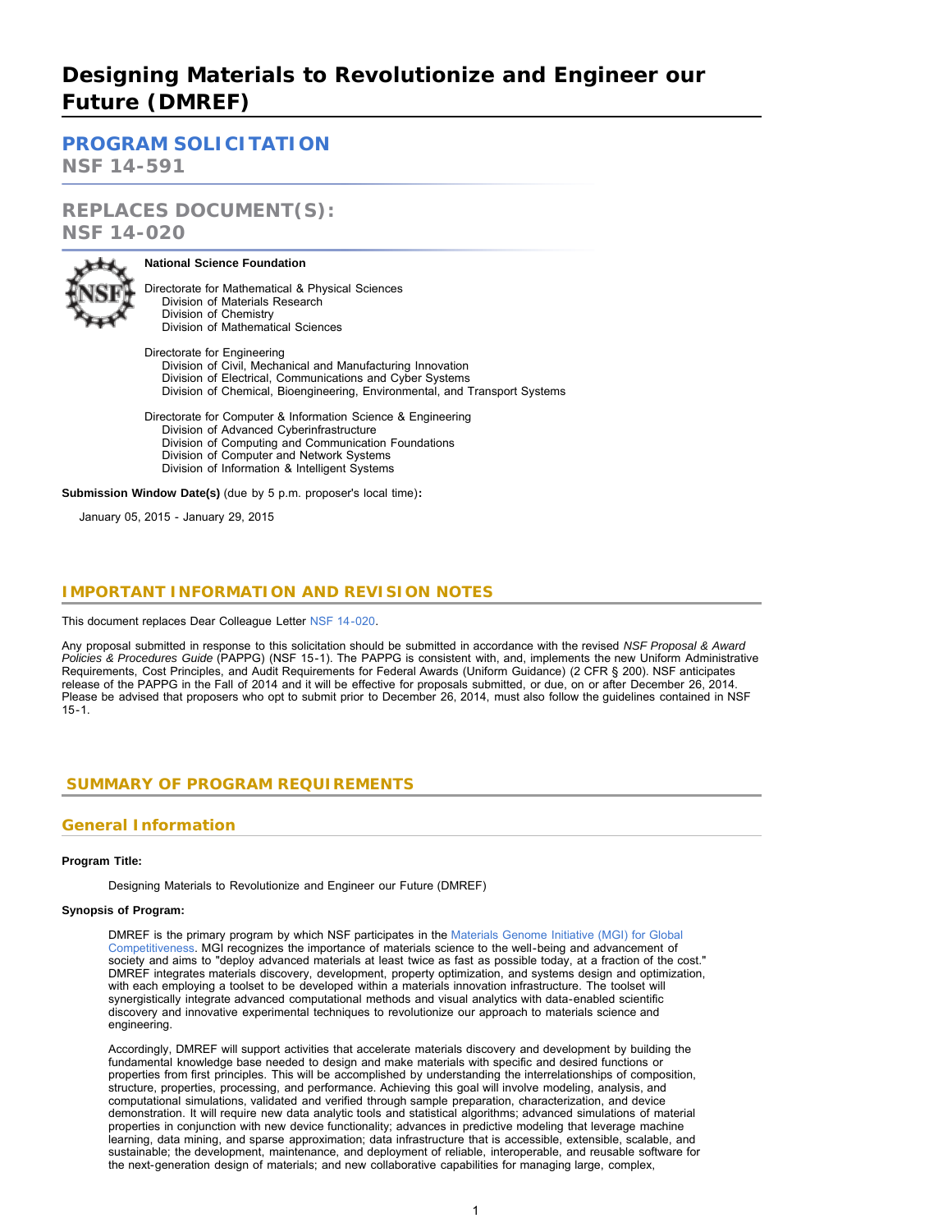# **Designing Materials to Revolutionize and Engineer our Future (DMREF)**

**[PROGRAM SOLICITATION](#page-2-0)**

**NSF 14-591**

**REPLACES DOCUMENT(S): NSF 14-020**



**National Science Foundation**

Directorate for Mathematical & Physical Sciences Division of Materials Research Division of Chemistry Division of Mathematical Sciences

Directorate for Engineering Division of Civil, Mechanical and Manufacturing Innovation Division of Electrical, Communications and Cyber Systems Division of Chemical, Bioengineering, Environmental, and Transport Systems

Directorate for Computer & Information Science & Engineering Division of Advanced Cyberinfrastructure Division of Computing and Communication Foundations Division of Computer and Network Systems Division of Information & Intelligent Systems

**Submission Window Date(s)** (due by 5 p.m. proposer's local time)**:**

January 05, 2015 - January 29, 2015

# **IMPORTANT INFORMATION AND REVISION NOTES**

This document replaces Dear Colleague Letter [NSF 14-020.](http://www.nsf.gov/publications/pub_summ.jsp?ods_key=nsf14020)

Any proposal submitted in response to this solicitation should be submitted in accordance with the revised *NSF Proposal & Award Policies & Procedures Guide* (PAPPG) (NSF 15-1). The PAPPG is consistent with, and, implements the new Uniform Administrative Requirements, Cost Principles, and Audit Requirements for Federal Awards (Uniform Guidance) (2 CFR § 200). NSF anticipates release of the PAPPG in the Fall of 2014 and it will be effective for proposals submitted, or due, on or after December 26, 2014. Please be advised that proposers who opt to submit prior to December 26, 2014, must also follow the guidelines contained in NSF 15-1.

# <span id="page-0-0"></span> **SUMMARY OF PROGRAM REQUIREMENTS**

# **General Information**

### **Program Title:**

Designing Materials to Revolutionize and Engineer our Future (DMREF)

### **Synopsis of Program:**

DMREF is the primary program by which NSF participates in the [Materials Genome Initiative \(MGI\) for Global](http://www.whitehouse.gov/sites/default/files/microsites/ostp/materials_genome_initiative-final.pdf) [Competitiveness.](http://www.whitehouse.gov/sites/default/files/microsites/ostp/materials_genome_initiative-final.pdf) MGI recognizes the importance of materials science to the well-being and advancement of society and aims to "deploy advanced materials at least twice as fast as possible today, at a fraction of the cost." DMREF integrates materials discovery, development, property optimization, and systems design and optimization, with each employing a toolset to be developed within a materials innovation infrastructure. The toolset will synergistically integrate advanced computational methods and visual analytics with data-enabled scientific discovery and innovative experimental techniques to revolutionize our approach to materials science and engineering.

Accordingly, DMREF will support activities that accelerate materials discovery and development by building the fundamental knowledge base needed to design and make materials with specific and desired functions or properties from first principles. This will be accomplished by understanding the interrelationships of composition, structure, properties, processing, and performance. Achieving this goal will involve modeling, analysis, and computational simulations, validated and verified through sample preparation, characterization, and device demonstration. It will require new data analytic tools and statistical algorithms; advanced simulations of material properties in conjunction with new device functionality; advances in predictive modeling that leverage machine learning, data mining, and sparse approximation; data infrastructure that is accessible, extensible, scalable, and sustainable; the development, maintenance, and deployment of reliable, interoperable, and reusable software for the next-generation design of materials; and new collaborative capabilities for managing large, complex,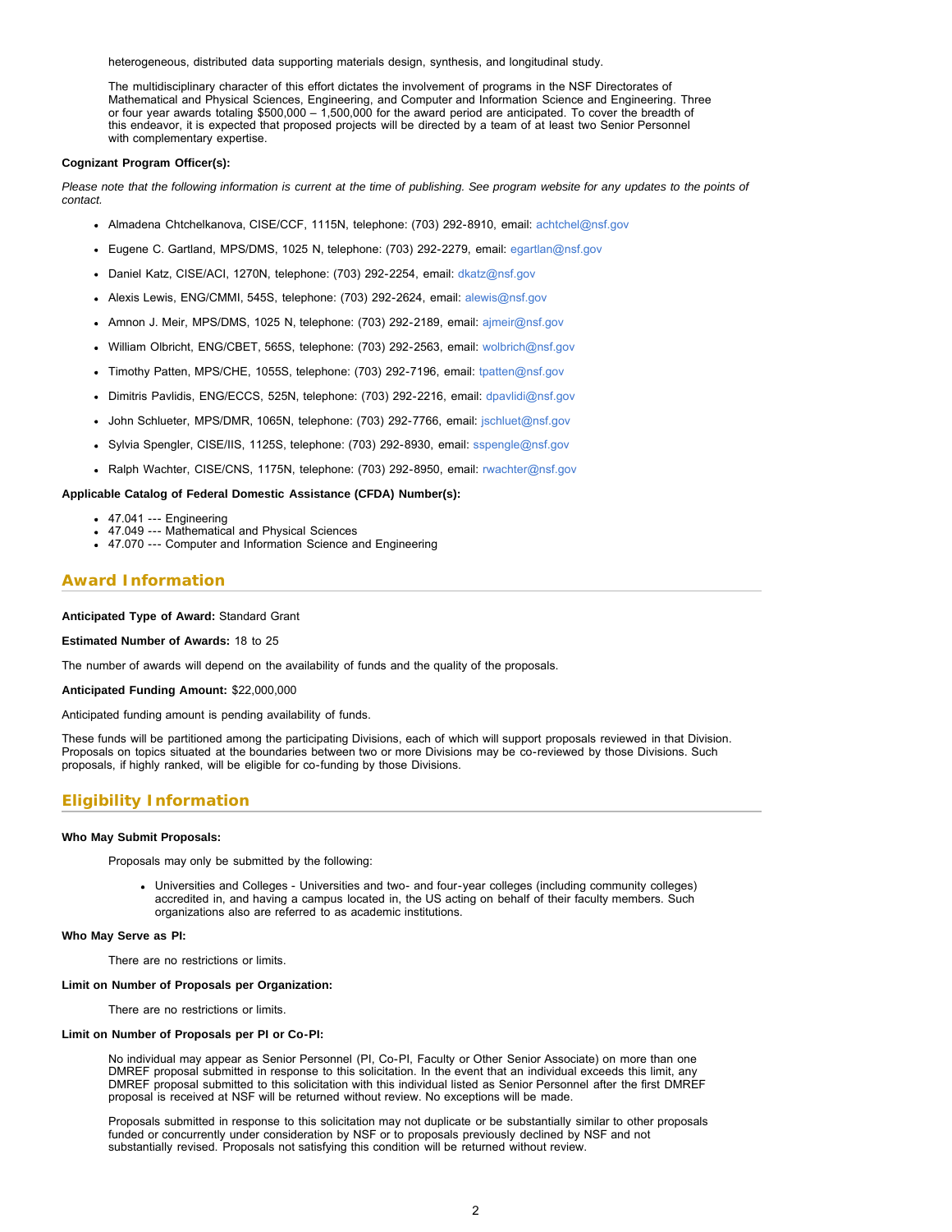heterogeneous, distributed data supporting materials design, synthesis, and longitudinal study.

The multidisciplinary character of this effort dictates the involvement of programs in the NSF Directorates of Mathematical and Physical Sciences, Engineering, and Computer and Information Science and Engineering. Three or four year awards totaling \$500,000 – 1,500,000 for the award period are anticipated. To cover the breadth of this endeavor, it is expected that proposed projects will be directed by a team of at least two Senior Personnel with complementary expertise.

#### **Cognizant Program Officer(s):**

*Please note that the following information is current at the time of publishing. See program website for any updates to the points of contact.*

- Almadena Chtchelkanova, CISE/CCF, 1115N, telephone: (703) 292-8910, email: [achtchel@nsf.gov](mailto:achtchel@nsf.gov)
- Eugene C. Gartland, MPS/DMS, 1025 N, telephone: (703) 292-2279, email: [egartlan@nsf.gov](mailto:egartlan@nsf.gov)
- Daniel Katz, CISE/ACI, 1270N, telephone: (703) 292-2254, email: [dkatz@nsf.gov](mailto:dkatz@nsf.gov)
- Alexis Lewis, ENG/CMMI, 545S, telephone: (703) 292-2624, email: [alewis@nsf.gov](mailto:alewis@nsf.gov)
- Amnon J. Meir, MPS/DMS, 1025 N, telephone: (703) 292-2189, email: [ajmeir@nsf.gov](mailto:ajmeir@nsf.gov)
- William Olbricht, ENG/CBET, 565S, telephone: (703) 292-2563, email: [wolbrich@nsf.gov](mailto:wolbrich@nsf.gov)
- Timothy Patten, MPS/CHE, 1055S, telephone: (703) 292-7196, email: [tpatten@nsf.gov](mailto:tpatten@nsf.gov)
- Dimitris Pavlidis, ENG/ECCS, 525N, telephone: (703) 292-2216, email: [dpavlidi@nsf.gov](mailto:dpavlidi@nsf.gov)
- John Schlueter, MPS/DMR, 1065N, telephone: (703) 292-7766, email: [jschluet@nsf.gov](mailto:jschluet@nsf.gov)
- Sylvia Spengler, CISE/IIS, 1125S, telephone: (703) 292-8930, email: [sspengle@nsf.gov](mailto:sspengle@nsf.gov)
- Ralph Wachter, CISE/CNS, 1175N, telephone: (703) 292-8950, email: [rwachter@nsf.gov](mailto:rwachter@nsf.gov)

### **Applicable Catalog of Federal Domestic Assistance (CFDA) Number(s):**

- 47.041 --- Engineering
- 47.049 --- Mathematical and Physical Sciences
- 47.070 --- Computer and Information Science and Engineering

### **Award Information**

**Anticipated Type of Award:** Standard Grant

#### **Estimated Number of Awards:** 18 to 25

The number of awards will depend on the availability of funds and the quality of the proposals.

### **Anticipated Funding Amount:** \$22,000,000

Anticipated funding amount is pending availability of funds.

These funds will be partitioned among the participating Divisions, each of which will support proposals reviewed in that Division. Proposals on topics situated at the boundaries between two or more Divisions may be co-reviewed by those Divisions. Such proposals, if highly ranked, will be eligible for co-funding by those Divisions.

### **Eligibility Information**

#### **Who May Submit Proposals:**

Proposals may only be submitted by the following:

Universities and Colleges - Universities and two- and four-year colleges (including community colleges) accredited in, and having a campus located in, the US acting on behalf of their faculty members. Such organizations also are referred to as academic institutions.

#### **Who May Serve as PI:**

There are no restrictions or limits.

#### **Limit on Number of Proposals per Organization:**

There are no restrictions or limits.

#### **Limit on Number of Proposals per PI or Co-PI:**

No individual may appear as Senior Personnel (PI, Co-PI, Faculty or Other Senior Associate) on more than one DMREF proposal submitted in response to this solicitation. In the event that an individual exceeds this limit, any DMREF proposal submitted to this solicitation with this individual listed as Senior Personnel after the first DMREF proposal is received at NSF will be returned without review. No exceptions will be made.

Proposals submitted in response to this solicitation may not duplicate or be substantially similar to other proposals funded or concurrently under consideration by NSF or to proposals previously declined by NSF and not substantially revised. Proposals not satisfying this condition will be returned without review.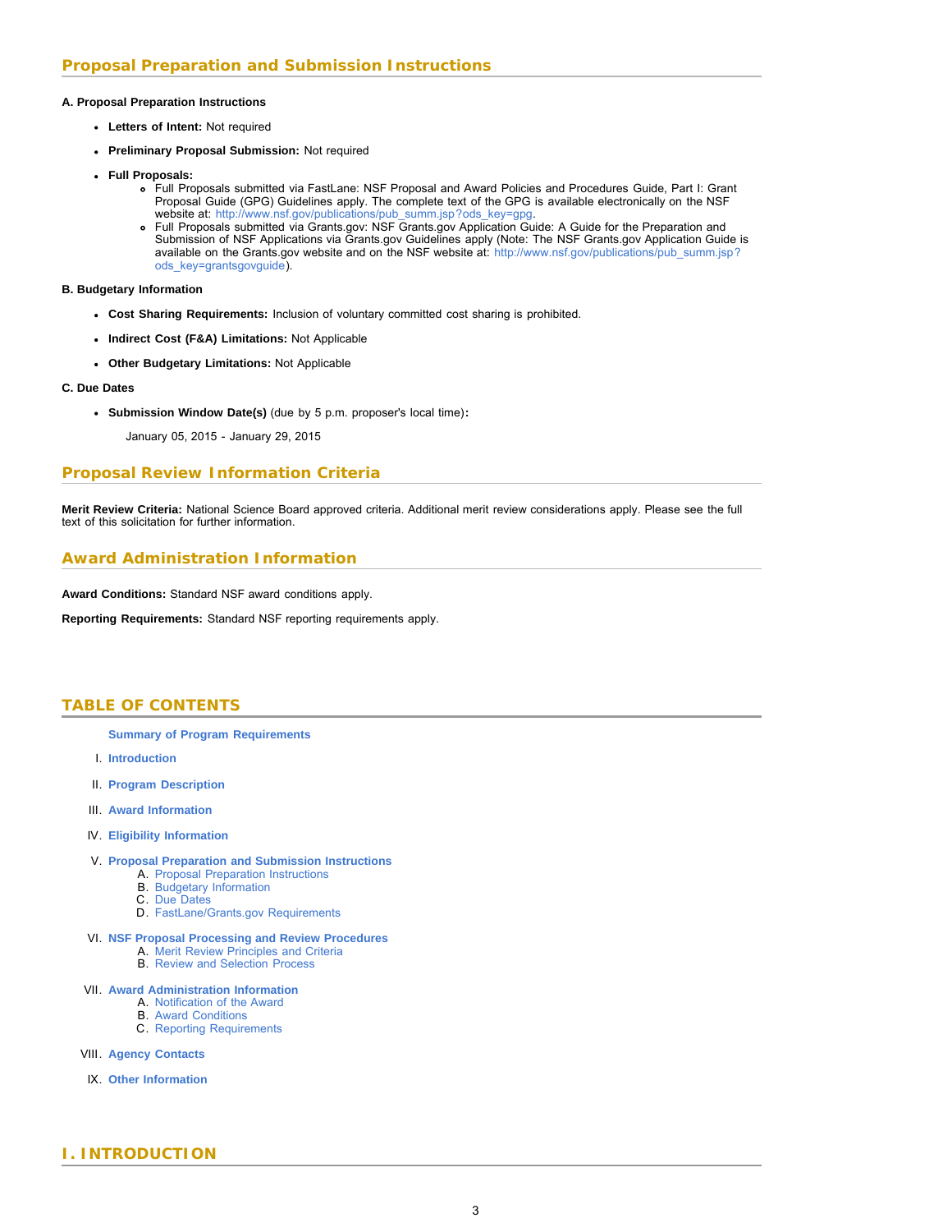### **A. Proposal Preparation Instructions**

- **Letters of Intent:** Not required
- **Preliminary Proposal Submission:** Not required
- **Full Proposals:**
	- Full Proposals submitted via FastLane: NSF Proposal and Award Policies and Procedures Guide, Part I: Grant Proposal Guide (GPG) Guidelines apply. The complete text of the GPG is available electronically on the NSF website at: [http://www.nsf.gov/publications/pub\\_summ.jsp?ods\\_key=gpg.](http://www.nsf.gov/publications/pub_summ.jsp?ods_key=gpg)
	- Full Proposals submitted via Grants.gov: NSF Grants.gov Application Guide: A Guide for the Preparation and Submission of NSF Applications via Grants.gov Guidelines apply (Note: The NSF Grants.gov Application Guide is available on the Grants.gov website and on the NSF website at: [http://www.nsf.gov/publications/pub\\_summ.jsp?](http://www.nsf.gov/publications/pub_summ.jsp?ods_key=grantsgovguide) [ods\\_key=grantsgovguide\)](http://www.nsf.gov/publications/pub_summ.jsp?ods_key=grantsgovguide).

### **B. Budgetary Information**

- **Cost Sharing Requirements:** Inclusion of voluntary committed cost sharing is prohibited.
- **Indirect Cost (F&A) Limitations:** Not Applicable
- **Other Budgetary Limitations:** Not Applicable
- **C. Due Dates**
	- **Submission Window Date(s)** (due by 5 p.m. proposer's local time)**:**

January 05, 2015 - January 29, 2015

# **Proposal Review Information Criteria**

**Merit Review Criteria:** National Science Board approved criteria. Additional merit review considerations apply. Please see the full text of this solicitation for further information.

# **Award Administration Information**

**Award Conditions:** Standard NSF award conditions apply.

<span id="page-2-0"></span>**Reporting Requirements:** Standard NSF reporting requirements apply.

# **TABLE OF CONTENTS**

### **[Summary of Program Requirements](#page-0-0)**

- I. **[Introduction](#page-2-1)**
- II. **[Program Description](#page-3-0)**
- III. **[Award Information](#page-4-0)**
- IV. **[Eligibility Information](#page-4-1)**
- V. **[Proposal Preparation and Submission Instructions](#page-4-2)**
	- A. [Proposal Preparation Instructions](#page-4-2)
	- B. [Budgetary Information](#page-5-0)
	- C. [Due Dates](#page-5-1)
	- D. [FastLane/Grants.gov Requirements](#page-6-0)
- VI. **[NSF Proposal Processing and Review Procedures](#page-6-1)**
	- A. [Merit Review Principles and Criteria](#page-6-2)
	- B. [Review and Selection Process](#page-7-0)
- VII. **[Award Administration Information](#page-8-0)**
	- A. [Notification of the Award](#page-8-1)
	- B. [Award Conditions](#page-8-2)
	- C. [Reporting Requirements](#page-8-3)

VIII. **[Agency Contacts](#page-9-0)**

<span id="page-2-1"></span>IX. **[Other Information](#page-9-1)**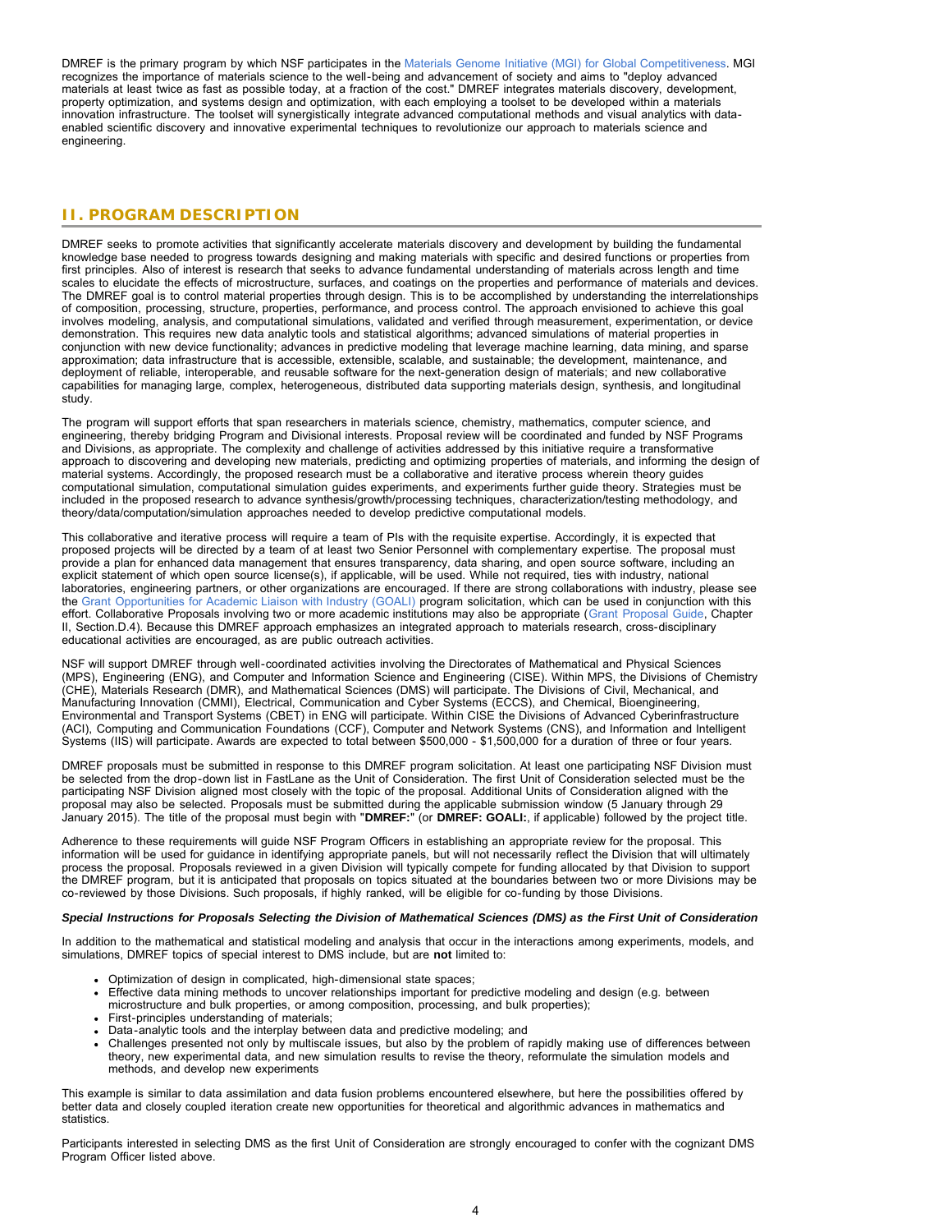DMREF is the primary program by which NSF participates in the [Materials Genome Initiative \(MGI\) for Global Competitiveness](http://www.whitehouse.gov/sites/default/files/microsites/ostp/materials_genome_initiative-final.pdf). MGI recognizes the importance of materials science to the well-being and advancement of society and aims to "deploy advanced materials at least twice as fast as possible today, at a fraction of the cost." DMREF integrates materials discovery, development, property optimization, and systems design and optimization, with each employing a toolset to be developed within a materials innovation infrastructure. The toolset will synergistically integrate advanced computational methods and visual analytics with dataenabled scientific discovery and innovative experimental techniques to revolutionize our approach to materials science and engineering.

# <span id="page-3-0"></span>**II. PROGRAM DESCRIPTION**

DMREF seeks to promote activities that significantly accelerate materials discovery and development by building the fundamental knowledge base needed to progress towards designing and making materials with specific and desired functions or properties from first principles. Also of interest is research that seeks to advance fundamental understanding of materials across length and time scales to elucidate the effects of microstructure, surfaces, and coatings on the properties and performance of materials and devices. The DMREF goal is to control material properties through design. This is to be accomplished by understanding the interrelationships of composition, processing, structure, properties, performance, and process control. The approach envisioned to achieve this goal involves modeling, analysis, and computational simulations, validated and verified through measurement, experimentation, or device demonstration. This requires new data analytic tools and statistical algorithms; advanced simulations of material properties in conjunction with new device functionality; advances in predictive modeling that leverage machine learning, data mining, and sparse approximation; data infrastructure that is accessible, extensible, scalable, and sustainable; the development, maintenance, and deployment of reliable, interoperable, and reusable software for the next-generation design of materials; and new collaborative capabilities for managing large, complex, heterogeneous, distributed data supporting materials design, synthesis, and longitudinal study.

The program will support efforts that span researchers in materials science, chemistry, mathematics, computer science, and engineering, thereby bridging Program and Divisional interests. Proposal review will be coordinated and funded by NSF Programs and Divisions, as appropriate. The complexity and challenge of activities addressed by this initiative require a transformative approach to discovering and developing new materials, predicting and optimizing properties of materials, and informing the design of material systems. Accordingly, the proposed research must be a collaborative and iterative process wherein theory guides computational simulation, computational simulation guides experiments, and experiments further guide theory. Strategies must be included in the proposed research to advance synthesis/growth/processing techniques, characterization/testing methodology, and theory/data/computation/simulation approaches needed to develop predictive computational models.

This collaborative and iterative process will require a team of PIs with the requisite expertise. Accordingly, it is expected that proposed projects will be directed by a team of at least two Senior Personnel with complementary expertise. The proposal must provide a plan for enhanced data management that ensures transparency, data sharing, and open source software, including an explicit statement of which open source license(s), if applicable, will be used. While not required, ties with industry, national laboratories, engineering partners, or other organizations are encouraged. If there are strong collaborations with industry, please see the [Grant Opportunities for Academic Liaison with Industry \(GOALI\)](http://www.nsf.gov/funding/pgm_summ.jsp?pims_id=504699) program solicitation, which can be used in conjunction with this effort. Collaborative Proposals involving two or more academic institutions may also be appropriate ([Grant Proposal Guide](http://www.nsf.gov/pubs/policydocs/pappguide/nsf13001/gpg_index.jsp), Chapter II, Section.D.4). Because this DMREF approach emphasizes an integrated approach to materials research, cross-disciplinary educational activities are encouraged, as are public outreach activities.

NSF will support DMREF through well-coordinated activities involving the Directorates of Mathematical and Physical Sciences (MPS), Engineering (ENG), and Computer and Information Science and Engineering (CISE). Within MPS, the Divisions of Chemistry (CHE), Materials Research (DMR), and Mathematical Sciences (DMS) will participate. The Divisions of Civil, Mechanical, and Manufacturing Innovation (CMMI), Electrical, Communication and Cyber Systems (ECCS), and Chemical, Bioengineering, Environmental and Transport Systems (CBET) in ENG will participate. Within CISE the Divisions of Advanced Cyberinfrastructure (ACI), Computing and Communication Foundations (CCF), Computer and Network Systems (CNS), and Information and Intelligent Systems (IIS) will participate. Awards are expected to total between \$500,000 - \$1,500,000 for a duration of three or four years.

DMREF proposals must be submitted in response to this DMREF program solicitation. At least one participating NSF Division must be selected from the drop-down list in FastLane as the Unit of Consideration. The first Unit of Consideration selected must be the participating NSF Division aligned most closely with the topic of the proposal. Additional Units of Consideration aligned with the proposal may also be selected. Proposals must be submitted during the applicable submission window (5 January through 29 January 2015). The title of the proposal must begin with "**DMREF:**" (or **DMREF: GOALI:**, if applicable) followed by the project title.

Adherence to these requirements will guide NSF Program Officers in establishing an appropriate review for the proposal. This information will be used for guidance in identifying appropriate panels, but will not necessarily reflect the Division that will ultimately process the proposal. Proposals reviewed in a given Division will typically compete for funding allocated by that Division to support the DMREF program, but it is anticipated that proposals on topics situated at the boundaries between two or more Divisions may be co-reviewed by those Divisions. Such proposals, if highly ranked, will be eligible for co-funding by those Divisions.

#### *Special Instructions for Proposals Selecting the Division of Mathematical Sciences (DMS) as the First Unit of Consideration*

In addition to the mathematical and statistical modeling and analysis that occur in the interactions among experiments, models, and simulations, DMREF topics of special interest to DMS include, but are **not** limited to:

- Optimization of design in complicated, high-dimensional state spaces;
- Effective data mining methods to uncover relationships important for predictive modeling and design (e.g. between microstructure and bulk properties, or among composition, processing, and bulk properties);
- First-principles understanding of materials;
- Data-analytic tools and the interplay between data and predictive modeling; and
- Challenges presented not only by multiscale issues, but also by the problem of rapidly making use of differences between theory, new experimental data, and new simulation results to revise the theory, reformulate the simulation models and methods, and develop new experiments

This example is similar to data assimilation and data fusion problems encountered elsewhere, but here the possibilities offered by better data and closely coupled iteration create new opportunities for theoretical and algorithmic advances in mathematics and statistics.

Participants interested in selecting DMS as the first Unit of Consideration are strongly encouraged to confer with the cognizant DMS Program Officer listed above.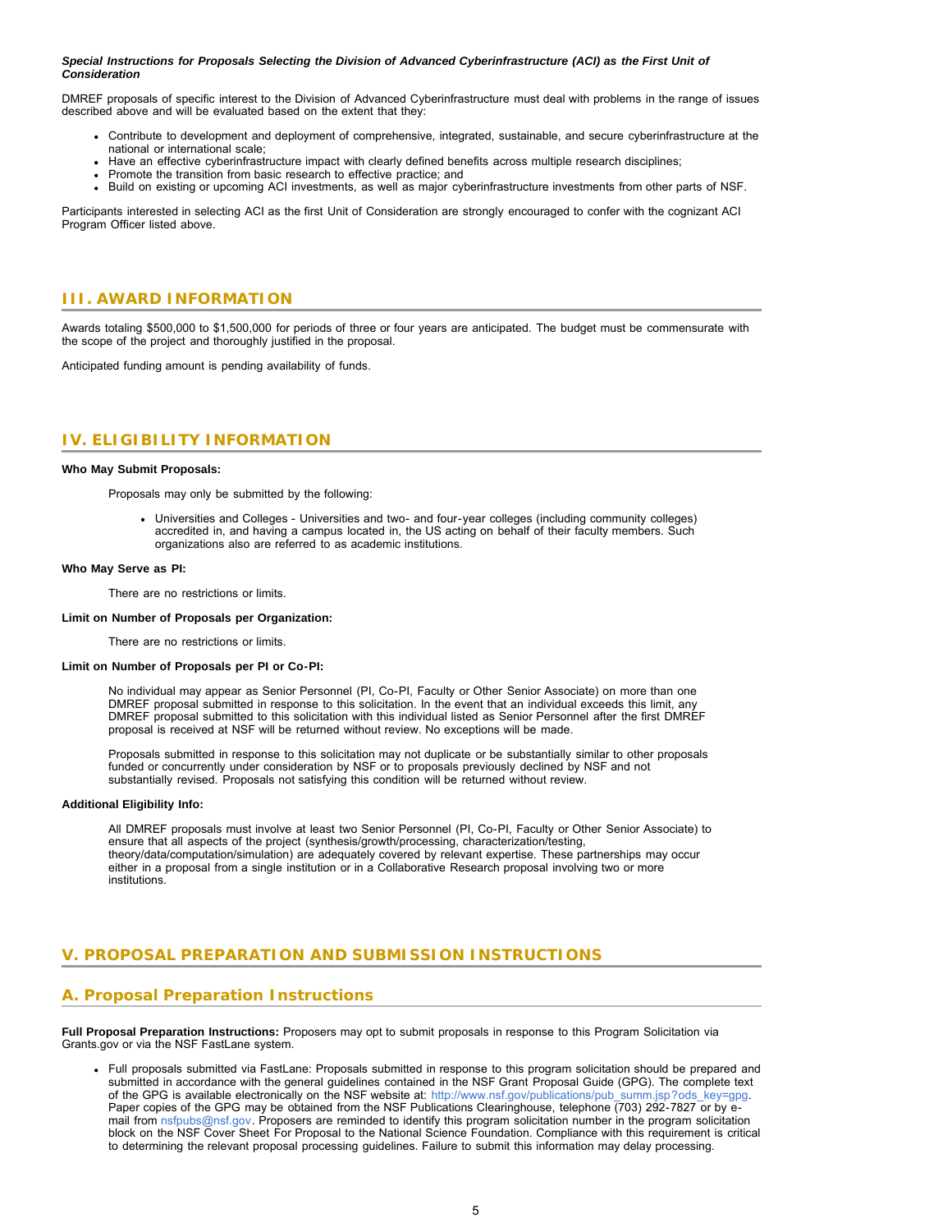### *Special Instructions for Proposals Selecting the Division of Advanced Cyberinfrastructure (ACI) as the First Unit of Consideration*

DMREF proposals of specific interest to the Division of Advanced Cyberinfrastructure must deal with problems in the range of issues described above and will be evaluated based on the extent that they:

- Contribute to development and deployment of comprehensive, integrated, sustainable, and secure cyberinfrastructure at the national or international scale;
- Have an effective cyberinfrastructure impact with clearly defined benefits across multiple research disciplines;
- Promote the transition from basic research to effective practice; and
- Build on existing or upcoming ACI investments, as well as major cyberinfrastructure investments from other parts of NSF.

Participants interested in selecting ACI as the first Unit of Consideration are strongly encouraged to confer with the cognizant ACI Program Officer listed above.

### <span id="page-4-0"></span>**III. AWARD INFORMATION**

Awards totaling \$500,000 to \$1,500,000 for periods of three or four years are anticipated. The budget must be commensurate with the scope of the project and thoroughly justified in the proposal.

Anticipated funding amount is pending availability of funds.

# <span id="page-4-1"></span>**IV. ELIGIBILITY INFORMATION**

#### **Who May Submit Proposals:**

Proposals may only be submitted by the following:

Universities and Colleges - Universities and two- and four-year colleges (including community colleges) accredited in, and having a campus located in, the US acting on behalf of their faculty members. Such organizations also are referred to as academic institutions.

#### **Who May Serve as PI:**

There are no restrictions or limits.

#### **Limit on Number of Proposals per Organization:**

There are no restrictions or limits.

### **Limit on Number of Proposals per PI or Co-PI:**

No individual may appear as Senior Personnel (PI, Co-PI, Faculty or Other Senior Associate) on more than one DMREF proposal submitted in response to this solicitation. In the event that an individual exceeds this limit, any DMREF proposal submitted to this solicitation with this individual listed as Senior Personnel after the first DMREF proposal is received at NSF will be returned without review. No exceptions will be made.

Proposals submitted in response to this solicitation may not duplicate or be substantially similar to other proposals funded or concurrently under consideration by NSF or to proposals previously declined by NSF and not substantially revised. Proposals not satisfying this condition will be returned without review.

### **Additional Eligibility Info:**

All DMREF proposals must involve at least two Senior Personnel (PI, Co-PI, Faculty or Other Senior Associate) to ensure that all aspects of the project (synthesis/growth/processing, characterization/testing, theory/data/computation/simulation) are adequately covered by relevant expertise. These partnerships may occur either in a proposal from a single institution or in a Collaborative Research proposal involving two or more institutions.

# <span id="page-4-2"></span>**V. PROPOSAL PREPARATION AND SUBMISSION INSTRUCTIONS**

# **A. Proposal Preparation Instructions**

**Full Proposal Preparation Instructions:** Proposers may opt to submit proposals in response to this Program Solicitation via Grants.gov or via the NSF FastLane system.

Full proposals submitted via FastLane: Proposals submitted in response to this program solicitation should be prepared and submitted in accordance with the general guidelines contained in the NSF Grant Proposal Guide (GPG). The complete text of the GPG is available electronically on the NSF website at: [http://www.nsf.gov/publications/pub\\_summ.jsp?ods\\_key=gpg.](http://www.nsf.gov/publications/pub_summ.jsp?ods_key=gpg) Paper copies of the GPG may be obtained from the NSF Publications Clearinghouse, telephone (703) 292-7827 or by email from [nsfpubs@nsf.gov.](mailto:nsfpubs@nsf.gov) Proposers are reminded to identify this program solicitation number in the program solicitation block on the NSF Cover Sheet For Proposal to the National Science Foundation. Compliance with this requirement is critical to determining the relevant proposal processing guidelines. Failure to submit this information may delay processing.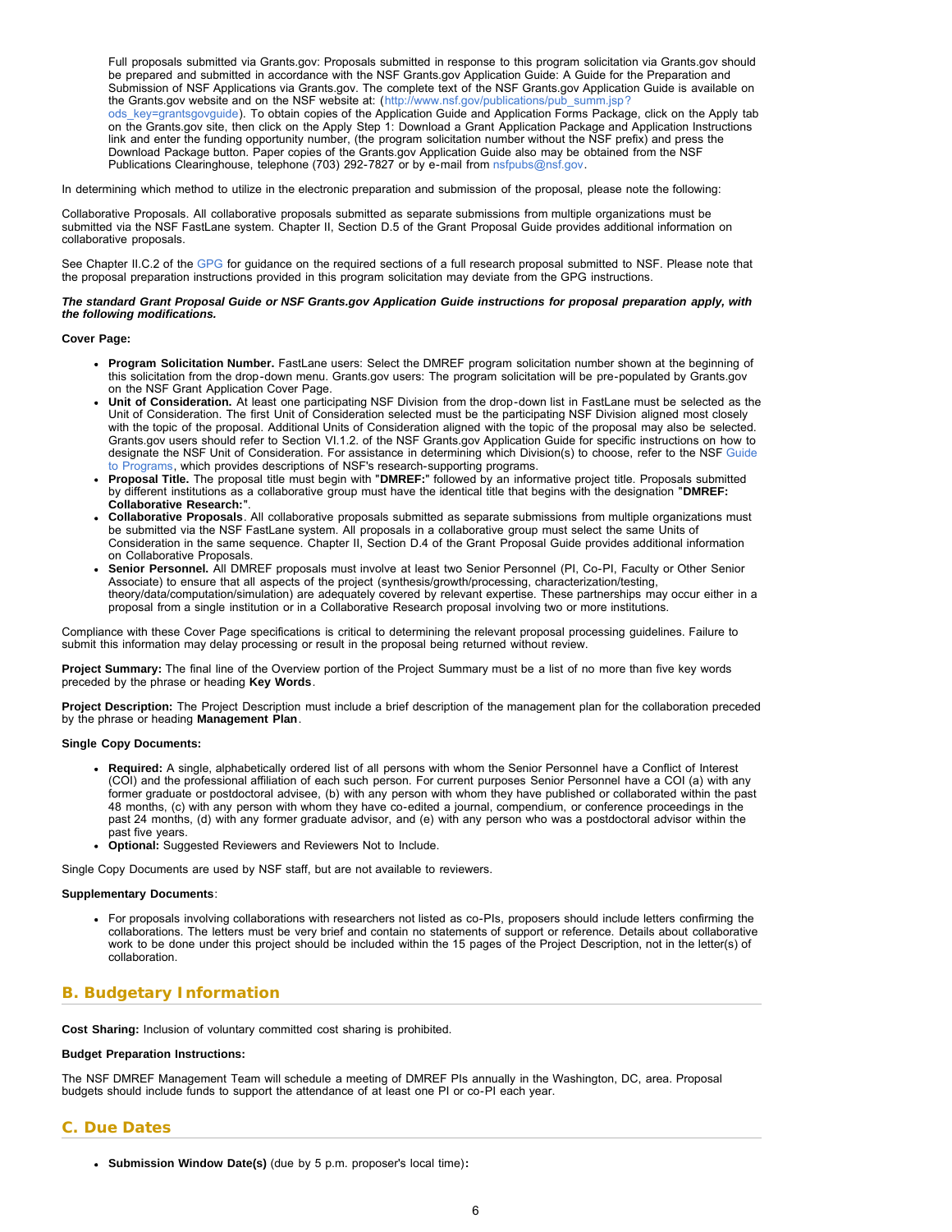<span id="page-5-1"></span>Full proposals submitted via Grants.gov: Proposals submitted in response to this program solicitation via Grants.gov should be prepared and submitted in accordance with the NSF Grants.gov Application Guide: A Guide for the Preparation and Submission of NSF Applications via Grants.gov. The complete text of the NSF Grants.gov Application Guide is available on the Grants.gov website and on the NSF website at: ([http://www.nsf.gov/publications/pub\\_summ.jsp?](http://www.nsf.gov/publications/pub_summ.jsp?ods_key=grantsgovguide) [ods\\_key=grantsgovguide\)](http://www.nsf.gov/publications/pub_summ.jsp?ods_key=grantsgovguide). To obtain copies of the Application Guide and Application Forms Package, click on the Apply tab on the Grants.gov site, then click on the Apply Step 1: Download a Grant Application Package and Application Instructions link and enter the funding opportunity number, (the program solicitation number without the NSF prefix) and press the Download Package button. Paper copies of the Grants.gov Application Guide also may be obtained from the NSF Publications Clearinghouse, telephone (703) 292-7827 or by e-mail from [nsfpubs@nsf.gov.](mailto:nsfpubs@nsf.gov)

In determining which method to utilize in the electronic preparation and submission of the proposal, please note the following:

Collaborative Proposals. All collaborative proposals submitted as separate submissions from multiple organizations must be submitted via the NSF FastLane system. Chapter II, Section D.5 of the Grant Proposal Guide provides additional information on collaborative proposals.

See Chapter II.C.2 of the [GPG](http://www.nsf.gov/publications/pub_summ.jsp?ods_key=gpg) for guidance on the required sections of a full research proposal submitted to NSF. Please note that the proposal preparation instructions provided in this program solicitation may deviate from the GPG instructions.

#### *The standard Grant Proposal Guide or NSF Grants.gov Application Guide instructions for proposal preparation apply, with the following modifications.*

#### **Cover Page:**

- **Program Solicitation Number.** FastLane users: Select the DMREF program solicitation number shown at the beginning of this solicitation from the drop-down menu. Grants.gov users: The program solicitation will be pre-populated by Grants.gov on the NSF Grant Application Cover Page.
- **Unit of Consideration.** At least one participating NSF Division from the drop-down list in FastLane must be selected as the Unit of Consideration. The first Unit of Consideration selected must be the participating NSF Division aligned most closely with the topic of the proposal. Additional Units of Consideration aligned with the topic of the proposal may also be selected. Grants.gov users should refer to Section VI.1.2. of the NSF Grants.gov Application Guide for specific instructions on how to designate the NSF Unit of Consideration. For assistance in determining which Division(s) to choose, refer to the NSF [Guide](http://www.nsf.gov/funding/browse_all_funding.jsp) [to Programs,](http://www.nsf.gov/funding/browse_all_funding.jsp) which provides descriptions of NSF's research-supporting programs.
- **Proposal Title.** The proposal title must begin with "**DMREF:**" followed by an informative project title. Proposals submitted by different institutions as a collaborative group must have the identical title that begins with the designation "**DMREF: Collaborative Research:**".
- **Collaborative Proposals**. All collaborative proposals submitted as separate submissions from multiple organizations must be submitted via the NSF FastLane system. All proposals in a collaborative group must select the same Units of Consideration in the same sequence. Chapter II, Section D.4 of the Grant Proposal Guide provides additional information on Collaborative Proposals.
- Senior Personnel. All DMREF proposals must involve at least two Senior Personnel (PI, Co-PI, Faculty or Other Senior Associate) to ensure that all aspects of the project (synthesis/growth/processing, characterization/testing, theory/data/computation/simulation) are adequately covered by relevant expertise. These partnerships may occur either in a proposal from a single institution or in a Collaborative Research proposal involving two or more institutions.

Compliance with these Cover Page specifications is critical to determining the relevant proposal processing guidelines. Failure to submit this information may delay processing or result in the proposal being returned without review.

**Project Summary:** The final line of the Overview portion of the Project Summary must be a list of no more than five key words preceded by the phrase or heading **Key Words**.

**Project Description:** The Project Description must include a brief description of the management plan for the collaboration preceded by the phrase or heading **Management Plan**.

### **Single Copy Documents:**

- **Required:** A single, alphabetically ordered list of all persons with whom the Senior Personnel have a Conflict of Interest (COI) and the professional affiliation of each such person. For current purposes Senior Personnel have a COI (a) with any former graduate or postdoctoral advisee, (b) with any person with whom they have published or collaborated within the past 48 months, (c) with any person with whom they have co-edited a journal, compendium, or conference proceedings in the past 24 months, (d) with any former graduate advisor, and (e) with any person who was a postdoctoral advisor within the past five years.
- **Optional:** Suggested Reviewers and Reviewers Not to Include.

Single Copy Documents are used by NSF staff, but are not available to reviewers.

#### **Supplementary Documents**:

For proposals involving collaborations with researchers not listed as co-PIs, proposers should include letters confirming the collaborations. The letters must be very brief and contain no statements of support or reference. Details about collaborative work to be done under this project should be included within the 15 pages of the Project Description, not in the letter(s) of collaboration.

# <span id="page-5-0"></span>**B. Budgetary Information**

**Cost Sharing:** Inclusion of voluntary committed cost sharing is prohibited.

### **Budget Preparation Instructions:**

The NSF DMREF Management Team will schedule a meeting of DMREF PIs annually in the Washington, DC, area. Proposal budgets should include funds to support the attendance of at least one PI or co-PI each year.

# **C. Due Dates**

**Submission Window Date(s)** (due by 5 p.m. proposer's local time)**:**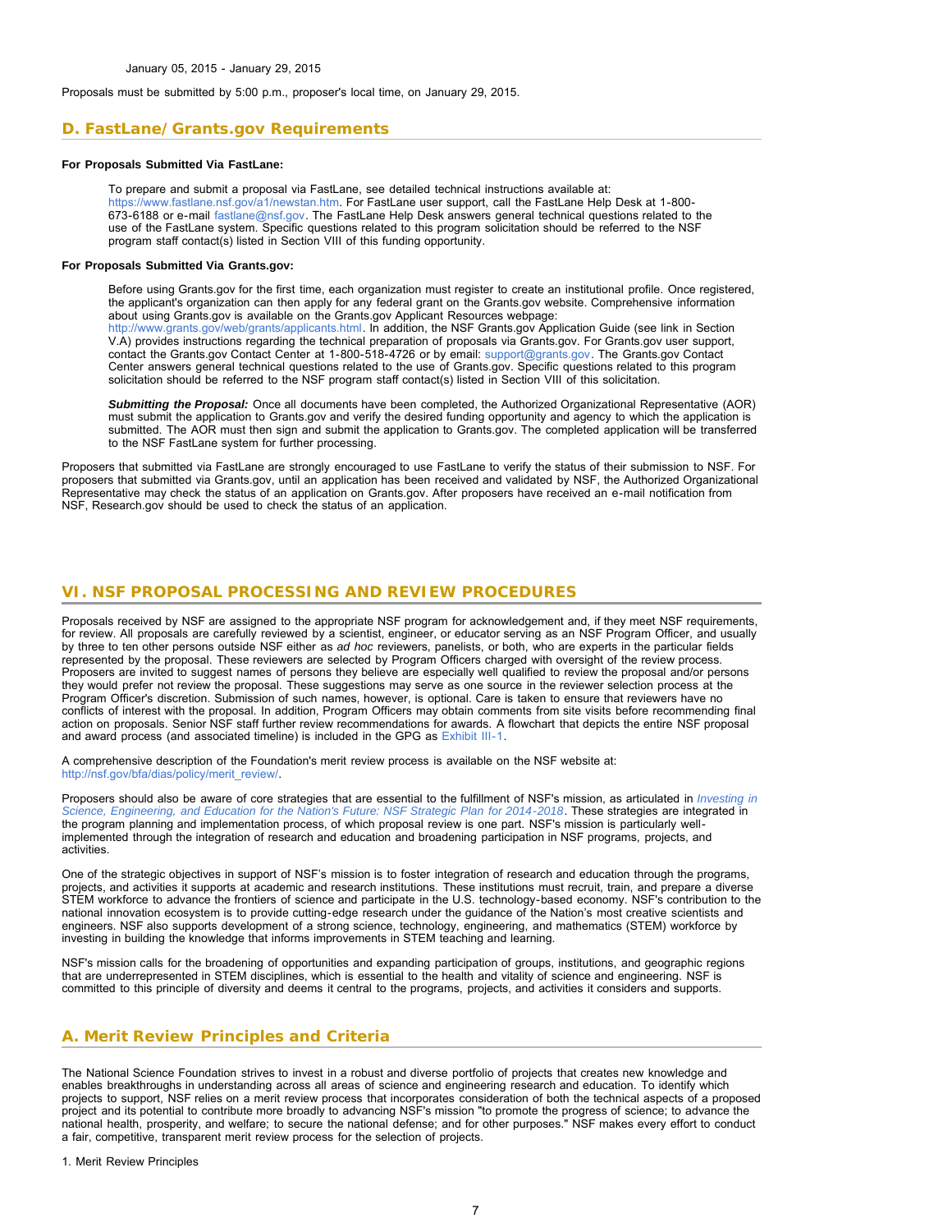Proposals must be submitted by 5:00 p.m., proposer's local time, on January 29, 2015.

# <span id="page-6-0"></span>**D. FastLane/Grants.gov Requirements**

### **For Proposals Submitted Via FastLane:**

To prepare and submit a proposal via FastLane, see detailed technical instructions available at: [https://www.fastlane.nsf.gov/a1/newstan.htm.](https://www.fastlane.nsf.gov/a1/newstan.htm) For FastLane user support, call the FastLane Help Desk at 1-800- 673-6188 or e-mail [fastlane@nsf.gov.](mailto:fastlane@nsf.gov) The FastLane Help Desk answers general technical questions related to the use of the FastLane system. Specific questions related to this program solicitation should be referred to the NSF program staff contact(s) listed in Section VIII of this funding opportunity.

#### **For Proposals Submitted Via Grants.gov:**

Before using Grants.gov for the first time, each organization must register to create an institutional profile. Once registered, the applicant's organization can then apply for any federal grant on the Grants.gov website. Comprehensive information about using Grants.gov is available on the Grants.gov Applicant Resources webpage:

[http://www.grants.gov/web/grants/applicants.html.](http://www.grants.gov/web/grants/applicants.html) In addition, the NSF Grants.gov Application Guide (see link in Section V.A) provides instructions regarding the technical preparation of proposals via Grants.gov. For Grants.gov user support, contact the Grants.gov Contact Center at 1-800-518-4726 or by email: [support@grants.gov](mailto:support@grants.gov). The Grants.gov Contact Center answers general technical questions related to the use of Grants.gov. Specific questions related to this program solicitation should be referred to the NSF program staff contact(s) listed in Section VIII of this solicitation.

*Submitting the Proposal:* Once all documents have been completed, the Authorized Organizational Representative (AOR) must submit the application to Grants.gov and verify the desired funding opportunity and agency to which the application is submitted. The AOR must then sign and submit the application to Grants.gov. The completed application will be transferred to the NSF FastLane system for further processing.

Proposers that submitted via FastLane are strongly encouraged to use FastLane to verify the status of their submission to NSF. For proposers that submitted via Grants.gov, until an application has been received and validated by NSF, the Authorized Organizational Representative may check the status of an application on Grants.gov. After proposers have received an e-mail notification from NSF, Research.gov should be used to check the status of an application.

# <span id="page-6-1"></span>**VI. NSF PROPOSAL PROCESSING AND REVIEW PROCEDURES**

Proposals received by NSF are assigned to the appropriate NSF program for acknowledgement and, if they meet NSF requirements, for review. All proposals are carefully reviewed by a scientist, engineer, or educator serving as an NSF Program Officer, and usually by three to ten other persons outside NSF either as *ad hoc* reviewers, panelists, or both, who are experts in the particular fields represented by the proposal. These reviewers are selected by Program Officers charged with oversight of the review process. Proposers are invited to suggest names of persons they believe are especially well qualified to review the proposal and/or persons they would prefer not review the proposal. These suggestions may serve as one source in the reviewer selection process at the Program Officer's discretion. Submission of such names, however, is optional. Care is taken to ensure that reviewers have no conflicts of interest with the proposal. In addition, Program Officers may obtain comments from site visits before recommending final action on proposals. Senior NSF staff further review recommendations for awards. A flowchart that depicts the entire NSF proposal and award process (and associated timeline) is included in the GPG as [Exhibit III-1](http://www.nsf.gov/pubs/policydocs/pappguide/nsf14001/gpg_3ex1.pdf).

A comprehensive description of the Foundation's merit review process is available on the NSF website at: [http://nsf.gov/bfa/dias/policy/merit\\_review/.](http://nsf.gov/bfa/dias/policy/merit_review/)

Proposers should also be aware of core strategies that are essential to the fulfillment of NSF's mission, as articulated in *[Investing in](http://www.nsf.gov/pubs/2014/nsf14043/nsf14043.pdf) [Science, Engineering, and Education for the Nation's Future: NSF Strategic Plan for 2014-2018](http://www.nsf.gov/pubs/2014/nsf14043/nsf14043.pdf)*. These strategies are integrated in the program planning and implementation process, of which proposal review is one part. NSF's mission is particularly wellimplemented through the integration of research and education and broadening participation in NSF programs, projects, and activities.

One of the strategic objectives in support of NSF's mission is to foster integration of research and education through the programs, projects, and activities it supports at academic and research institutions. These institutions must recruit, train, and prepare a diverse STEM workforce to advance the frontiers of science and participate in the U.S. technology-based economy. NSF's contribution to the national innovation ecosystem is to provide cutting-edge research under the guidance of the Nation's most creative scientists and engineers. NSF also supports development of a strong science, technology, engineering, and mathematics (STEM) workforce by investing in building the knowledge that informs improvements in STEM teaching and learning.

NSF's mission calls for the broadening of opportunities and expanding participation of groups, institutions, and geographic regions that are underrepresented in STEM disciplines, which is essential to the health and vitality of science and engineering. NSF is committed to this principle of diversity and deems it central to the programs, projects, and activities it considers and supports.

# <span id="page-6-2"></span>**A. Merit Review Principles and Criteria**

The National Science Foundation strives to invest in a robust and diverse portfolio of projects that creates new knowledge and enables breakthroughs in understanding across all areas of science and engineering research and education. To identify which projects to support, NSF relies on a merit review process that incorporates consideration of both the technical aspects of a proposed project and its potential to contribute more broadly to advancing NSF's mission "to promote the progress of science; to advance the national health, prosperity, and welfare; to secure the national defense; and for other purposes." NSF makes every effort to conduct a fair, competitive, transparent merit review process for the selection of projects.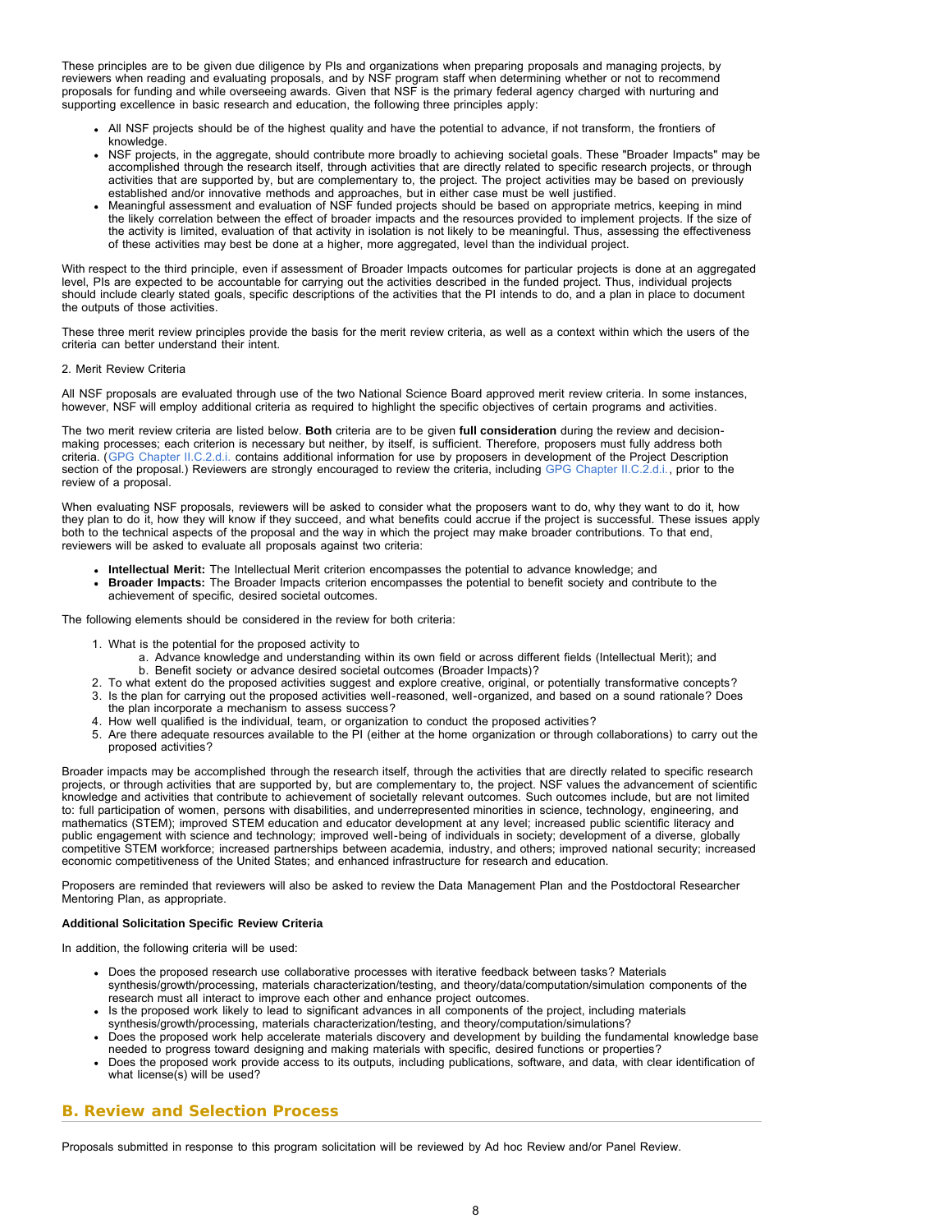These principles are to be given due diligence by PIs and organizations when preparing proposals and managing projects, by reviewers when reading and evaluating proposals, and by NSF program staff when determining whether or not to recommend proposals for funding and while overseeing awards. Given that NSF is the primary federal agency charged with nurturing and supporting excellence in basic research and education, the following three principles apply:

- All NSF projects should be of the highest quality and have the potential to advance, if not transform, the frontiers of knowledge.
- NSF projects, in the aggregate, should contribute more broadly to achieving societal goals. These "Broader Impacts" may be accomplished through the research itself, through activities that are directly related to specific research projects, or through activities that are supported by, but are complementary to, the project. The project activities may be based on previously established and/or innovative methods and approaches, but in either case must be well justified.
- Meaningful assessment and evaluation of NSF funded projects should be based on appropriate metrics, keeping in mind the likely correlation between the effect of broader impacts and the resources provided to implement projects. If the size of the activity is limited, evaluation of that activity in isolation is not likely to be meaningful. Thus, assessing the effectiveness of these activities may best be done at a higher, more aggregated, level than the individual project.

With respect to the third principle, even if assessment of Broader Impacts outcomes for particular projects is done at an aggregated level, PIs are expected to be accountable for carrying out the activities described in the funded project. Thus, individual projects should include clearly stated goals, specific descriptions of the activities that the PI intends to do, and a plan in place to document the outputs of those activities.

These three merit review principles provide the basis for the merit review criteria, as well as a context within which the users of the criteria can better understand their intent.

### 2. Merit Review Criteria

All NSF proposals are evaluated through use of the two National Science Board approved merit review criteria. In some instances, however, NSF will employ additional criteria as required to highlight the specific objectives of certain programs and activities.

The two merit review criteria are listed below. **Both** criteria are to be given **full consideration** during the review and decisionmaking processes; each criterion is necessary but neither, by itself, is sufficient. Therefore, proposers must fully address both criteria. ([GPG Chapter II.C.2.d.i.](http://www.nsf.gov/pubs/policydocs/pappguide/nsf13001/gpg_2.jsp#IIC2di) contains additional information for use by proposers in development of the Project Description section of the proposal.) Reviewers are strongly encouraged to review the criteria, including [GPG Chapter II.C.2.d.i.,](http://www.nsf.gov/pubs/policydocs/pappguide/nsf13001/gpg_2.jsp#IIC2di) prior to the review of a proposal.

When evaluating NSF proposals, reviewers will be asked to consider what the proposers want to do, why they want to do it, how they plan to do it, how they will know if they succeed, and what benefits could accrue if the project is successful. These issues apply both to the technical aspects of the proposal and the way in which the project may make broader contributions. To that end, reviewers will be asked to evaluate all proposals against two criteria:

- **Intellectual Merit:** The Intellectual Merit criterion encompasses the potential to advance knowledge; and
- **Broader Impacts:** The Broader Impacts criterion encompasses the potential to benefit society and contribute to the achievement of specific, desired societal outcomes.

The following elements should be considered in the review for both criteria:

- 1. What is the potential for the proposed activity to
	- a. Advance knowledge and understanding within its own field or across different fields (Intellectual Merit); and b. Benefit society or advance desired societal outcomes (Broader Impacts)?
- 2. To what extent do the proposed activities suggest and explore creative, original, or potentially transformative concepts? 3. Is the plan for carrying out the proposed activities well-reasoned, well-organized, and based on a sound rationale? Does
- the plan incorporate a mechanism to assess success?
- 4. How well qualified is the individual, team, or organization to conduct the proposed activities?
- 5. Are there adequate resources available to the PI (either at the home organization or through collaborations) to carry out the proposed activities?

Broader impacts may be accomplished through the research itself, through the activities that are directly related to specific research projects, or through activities that are supported by, but are complementary to, the project. NSF values the advancement of scientific knowledge and activities that contribute to achievement of societally relevant outcomes. Such outcomes include, but are not limited to: full participation of women, persons with disabilities, and underrepresented minorities in science, technology, engineering, and mathematics (STEM); improved STEM education and educator development at any level; increased public scientific literacy and public engagement with science and technology; improved well-being of individuals in society; development of a diverse, globally competitive STEM workforce; increased partnerships between academia, industry, and others; improved national security; increased economic competitiveness of the United States; and enhanced infrastructure for research and education.

Proposers are reminded that reviewers will also be asked to review the Data Management Plan and the Postdoctoral Researcher Mentoring Plan, as appropriate.

### **Additional Solicitation Specific Review Criteria**

In addition, the following criteria will be used:

- Does the proposed research use collaborative processes with iterative feedback between tasks? Materials synthesis/growth/processing, materials characterization/testing, and theory/data/computation/simulation components of the research must all interact to improve each other and enhance project outcomes.
- Is the proposed work likely to lead to significant advances in all components of the project, including materials synthesis/growth/processing, materials characterization/testing, and theory/computation/simulations?
- Does the proposed work help accelerate materials discovery and development by building the fundamental knowledge base needed to progress toward designing and making materials with specific, desired functions or properties?
- Does the proposed work provide access to its outputs, including publications, software, and data, with clear identification of what license(s) will be used?

# <span id="page-7-0"></span>**B. Review and Selection Process**

Proposals submitted in response to this program solicitation will be reviewed by Ad hoc Review and/or Panel Review.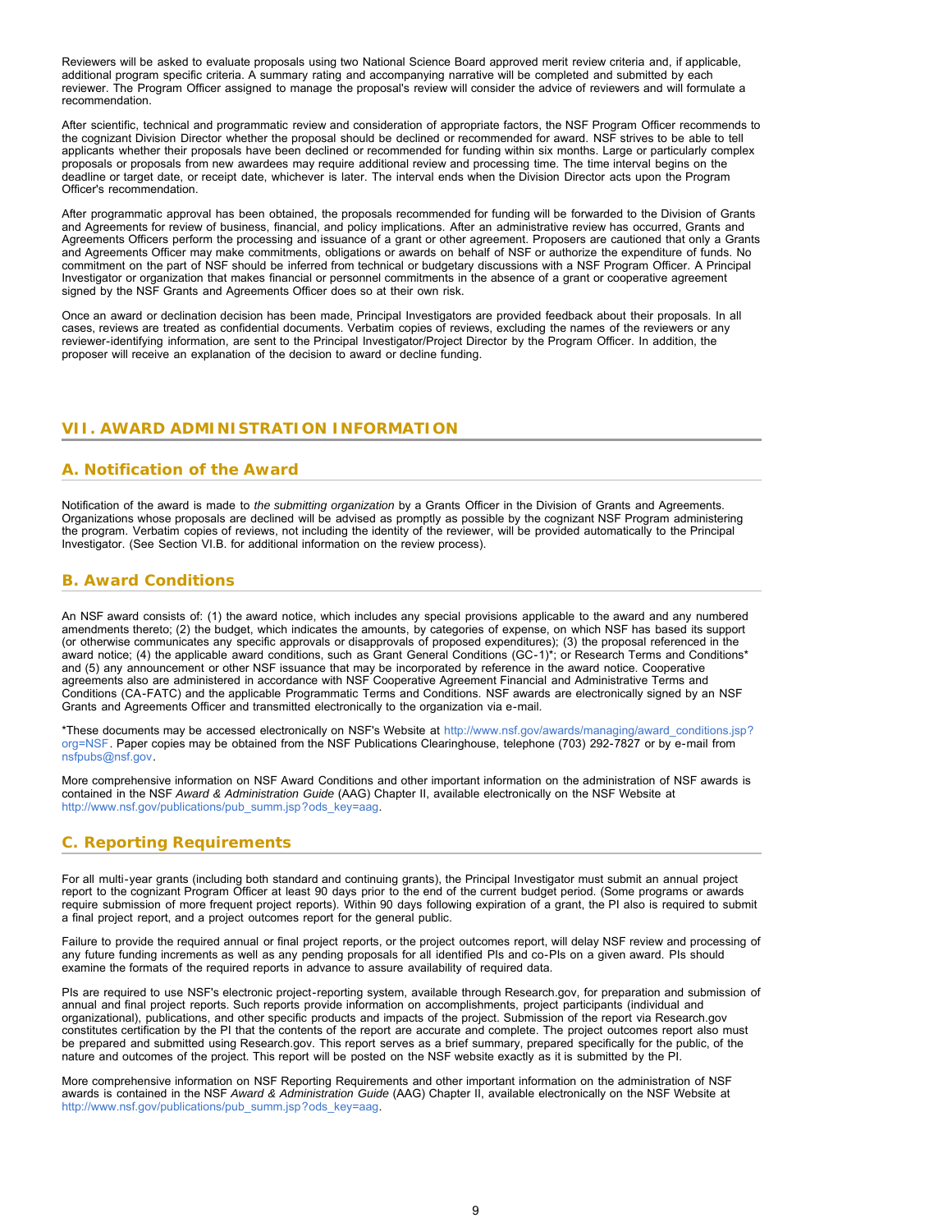Reviewers will be asked to evaluate proposals using two National Science Board approved merit review criteria and, if applicable, additional program specific criteria. A summary rating and accompanying narrative will be completed and submitted by each reviewer. The Program Officer assigned to manage the proposal's review will consider the advice of reviewers and will formulate a recommendation.

After scientific, technical and programmatic review and consideration of appropriate factors, the NSF Program Officer recommends to the cognizant Division Director whether the proposal should be declined or recommended for award. NSF strives to be able to tell applicants whether their proposals have been declined or recommended for funding within six months. Large or particularly complex proposals or proposals from new awardees may require additional review and processing time. The time interval begins on the deadline or target date, or receipt date, whichever is later. The interval ends when the Division Director acts upon the Program Officer's recommendation.

After programmatic approval has been obtained, the proposals recommended for funding will be forwarded to the Division of Grants and Agreements for review of business, financial, and policy implications. After an administrative review has occurred, Grants and Agreements Officers perform the processing and issuance of a grant or other agreement. Proposers are cautioned that only a Grants and Agreements Officer may make commitments, obligations or awards on behalf of NSF or authorize the expenditure of funds. No commitment on the part of NSF should be inferred from technical or budgetary discussions with a NSF Program Officer. A Principal Investigator or organization that makes financial or personnel commitments in the absence of a grant or cooperative agreement signed by the NSF Grants and Agreements Officer does so at their own risk.

Once an award or declination decision has been made, Principal Investigators are provided feedback about their proposals. In all cases, reviews are treated as confidential documents. Verbatim copies of reviews, excluding the names of the reviewers or any reviewer-identifying information, are sent to the Principal Investigator/Project Director by the Program Officer. In addition, the proposer will receive an explanation of the decision to award or decline funding.

# <span id="page-8-0"></span>**VII. AWARD ADMINISTRATION INFORMATION**

### <span id="page-8-1"></span>**A. Notification of the Award**

Notification of the award is made to *the submitting organization* by a Grants Officer in the Division of Grants and Agreements. Organizations whose proposals are declined will be advised as promptly as possible by the cognizant NSF Program administering the program. Verbatim copies of reviews, not including the identity of the reviewer, will be provided automatically to the Principal Investigator. (See Section VI.B. for additional information on the review process).

# <span id="page-8-2"></span>**B. Award Conditions**

An NSF award consists of: (1) the award notice, which includes any special provisions applicable to the award and any numbered amendments thereto; (2) the budget, which indicates the amounts, by categories of expense, on which NSF has based its support (or otherwise communicates any specific approvals or disapprovals of proposed expenditures); (3) the proposal referenced in the award notice; (4) the applicable award conditions, such as Grant General Conditions (GC-1)\*; or Research Terms and Conditions\* and (5) any announcement or other NSF issuance that may be incorporated by reference in the award notice. Cooperative agreements also are administered in accordance with NSF Cooperative Agreement Financial and Administrative Terms and Conditions (CA-FATC) and the applicable Programmatic Terms and Conditions. NSF awards are electronically signed by an NSF Grants and Agreements Officer and transmitted electronically to the organization via e-mail.

\*These documents may be accessed electronically on NSF's Website at [http://www.nsf.gov/awards/managing/award\\_conditions.jsp?](http://www.nsf.gov/awards/managing/award_conditions.jsp?org=NSF) [org=NSF.](http://www.nsf.gov/awards/managing/award_conditions.jsp?org=NSF) Paper copies may be obtained from the NSF Publications Clearinghouse, telephone (703) 292-7827 or by e-mail from [nsfpubs@nsf.gov.](mailto:nsfpubs@nsf.gov)

More comprehensive information on NSF Award Conditions and other important information on the administration of NSF awards is contained in the NSF *Award & Administration Guide* (AAG) Chapter II, available electronically on the NSF Website at [http://www.nsf.gov/publications/pub\\_summ.jsp?ods\\_key=aag.](http://www.nsf.gov/publications/pub_summ.jsp?ods_key=aag)

# <span id="page-8-3"></span>**C. Reporting Requirements**

For all multi-year grants (including both standard and continuing grants), the Principal Investigator must submit an annual project report to the cognizant Program Officer at least 90 days prior to the end of the current budget period. (Some programs or awards require submission of more frequent project reports). Within 90 days following expiration of a grant, the PI also is required to submit a final project report, and a project outcomes report for the general public.

Failure to provide the required annual or final project reports, or the project outcomes report, will delay NSF review and processing of any future funding increments as well as any pending proposals for all identified PIs and co-PIs on a given award. PIs should examine the formats of the required reports in advance to assure availability of required data.

PIs are required to use NSF's electronic project-reporting system, available through Research.gov, for preparation and submission of annual and final project reports. Such reports provide information on accomplishments, project participants (individual and organizational), publications, and other specific products and impacts of the project. Submission of the report via Research.gov constitutes certification by the PI that the contents of the report are accurate and complete. The project outcomes report also must be prepared and submitted using Research.gov. This report serves as a brief summary, prepared specifically for the public, of the nature and outcomes of the project. This report will be posted on the NSF website exactly as it is submitted by the PI.

More comprehensive information on NSF Reporting Requirements and other important information on the administration of NSF awards is contained in the NSF *Award & Administration Guide* (AAG) Chapter II, available electronically on the NSF Website at [http://www.nsf.gov/publications/pub\\_summ.jsp?ods\\_key=aag.](http://www.nsf.gov/publications/pub_summ.jsp?ods_key=aag)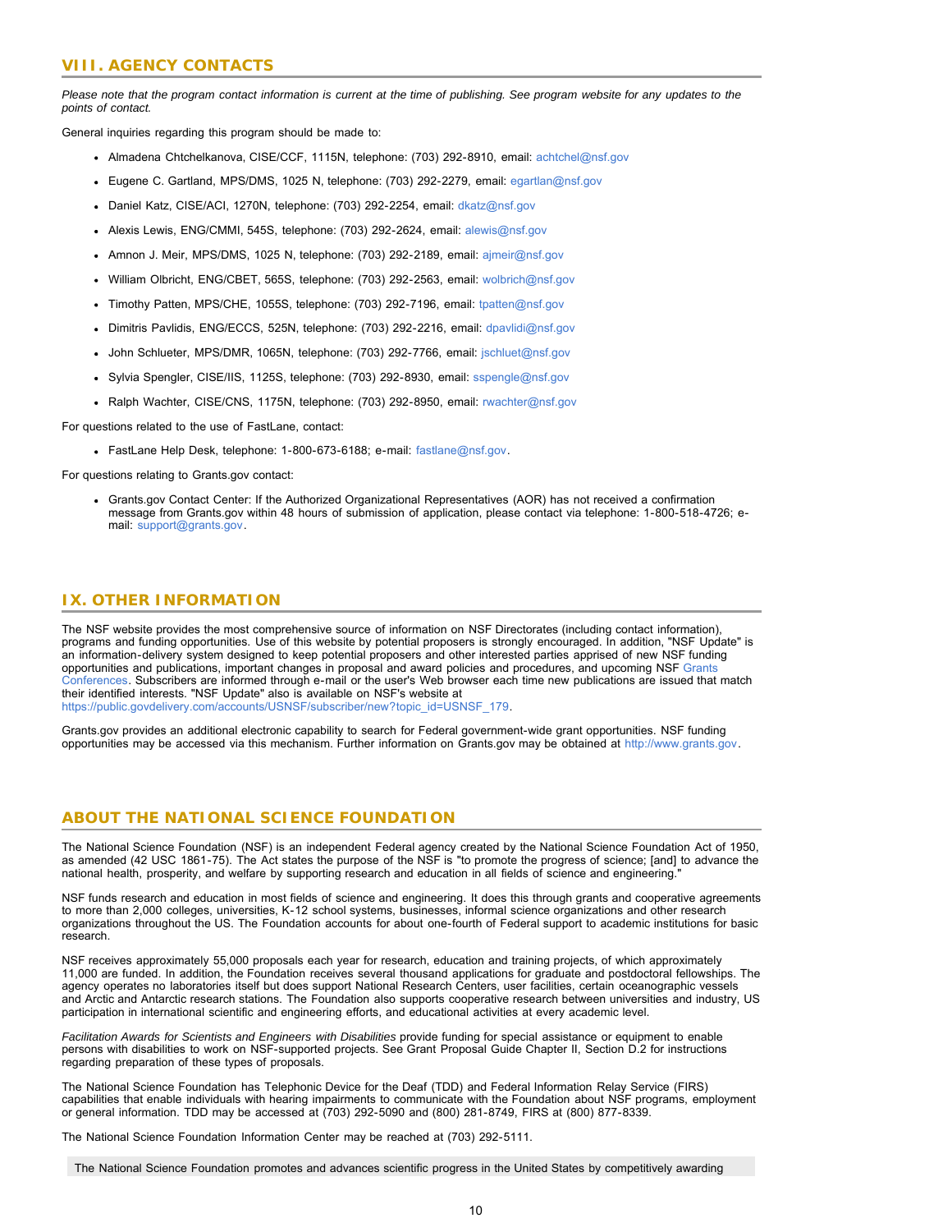<span id="page-9-0"></span>*Please note that the program contact information is current at the time of publishing. See program website for any updates to the points of contact.*

General inquiries regarding this program should be made to:

- Almadena Chtchelkanova, CISE/CCF, 1115N, telephone: (703) 292-8910, email: [achtchel@nsf.gov](mailto:achtchel@nsf.gov)
- Eugene C. Gartland, MPS/DMS, 1025 N, telephone: (703) 292-2279, email: [egartlan@nsf.gov](mailto:egartlan@nsf.gov)
- Daniel Katz, CISE/ACI, 1270N, telephone: (703) 292-2254, email: [dkatz@nsf.gov](mailto:dkatz@nsf.gov)
- Alexis Lewis, ENG/CMMI, 545S, telephone: (703) 292-2624, email: [alewis@nsf.gov](mailto:alewis@nsf.gov)
- Amnon J. Meir, MPS/DMS, 1025 N, telephone: (703) 292-2189, email: [ajmeir@nsf.gov](mailto:ajmeir@nsf.gov)
- William Olbricht, ENG/CBET, 565S, telephone: (703) 292-2563, email: [wolbrich@nsf.gov](mailto:wolbrich@nsf.gov)
- Timothy Patten, MPS/CHE, 1055S, telephone: (703) 292-7196, email: [tpatten@nsf.gov](mailto:tpatten@nsf.gov)
- Dimitris Pavlidis, ENG/ECCS, 525N, telephone: (703) 292-2216, email: [dpavlidi@nsf.gov](mailto:dpavlidi@nsf.gov)
- John Schlueter, MPS/DMR, 1065N, telephone: (703) 292-7766, email: [jschluet@nsf.gov](mailto:jschluet@nsf.gov)
- Sylvia Spengler, CISE/IIS, 1125S, telephone: (703) 292-8930, email: [sspengle@nsf.gov](mailto:sspengle@nsf.gov)
- Ralph Wachter, CISE/CNS, 1175N, telephone: (703) 292-8950, email: [rwachter@nsf.gov](mailto:rwachter@nsf.gov)

For questions related to the use of FastLane, contact:

FastLane Help Desk, telephone: 1-800-673-6188; e-mail: [fastlane@nsf.gov.](mailto:fastlane@nsf.gov)

For questions relating to Grants.gov contact:

Grants.gov Contact Center: If the Authorized Organizational Representatives (AOR) has not received a confirmation message from Grants.gov within 48 hours of submission of application, please contact via telephone: 1-800-518-4726; email: [support@grants.gov.](mailto:support@grants.gov)

### <span id="page-9-1"></span>**IX. OTHER INFORMATION**

The NSF website provides the most comprehensive source of information on NSF Directorates (including contact information), programs and funding opportunities. Use of this website by potential proposers is strongly encouraged. In addition, "NSF Update" is an information-delivery system designed to keep potential proposers and other interested parties apprised of new NSF funding opportunities and publications, important changes in proposal and award policies and procedures, and upcoming NSF [Grants](http://www.nsf.gov/bfa/dias/policy/outreach.jsp) [Conferences.](http://www.nsf.gov/bfa/dias/policy/outreach.jsp) Subscribers are informed through e-mail or the user's Web browser each time new publications are issued that match their identified interests. "NSF Update" also is available on NSF's website at

[https://public.govdelivery.com/accounts/USNSF/subscriber/new?topic\\_id=USNSF\\_179.](http://www.nsf.gov/cgi-bin/good-bye?https://public.govdelivery.com/accounts/USNSF/subscriber/new?topic_id=USNSF_179)

Grants.gov provides an additional electronic capability to search for Federal government-wide grant opportunities. NSF funding opportunities may be accessed via this mechanism. Further information on Grants.gov may be obtained at [http://www.grants.gov.](http://www.grants.gov/)

### **ABOUT THE NATIONAL SCIENCE FOUNDATION**

The National Science Foundation (NSF) is an independent Federal agency created by the National Science Foundation Act of 1950, as amended (42 USC 1861-75). The Act states the purpose of the NSF is "to promote the progress of science; [and] to advance the national health, prosperity, and welfare by supporting research and education in all fields of science and engineering."

NSF funds research and education in most fields of science and engineering. It does this through grants and cooperative agreements to more than 2,000 colleges, universities, K-12 school systems, businesses, informal science organizations and other research organizations throughout the US. The Foundation accounts for about one-fourth of Federal support to academic institutions for basic research.

NSF receives approximately 55,000 proposals each year for research, education and training projects, of which approximately 11,000 are funded. In addition, the Foundation receives several thousand applications for graduate and postdoctoral fellowships. The agency operates no laboratories itself but does support National Research Centers, user facilities, certain oceanographic vessels and Arctic and Antarctic research stations. The Foundation also supports cooperative research between universities and industry, US participation in international scientific and engineering efforts, and educational activities at every academic level.

*Facilitation Awards for Scientists and Engineers with Disabilities* provide funding for special assistance or equipment to enable persons with disabilities to work on NSF-supported projects. See Grant Proposal Guide Chapter II, Section D.2 for instructions regarding preparation of these types of proposals.

The National Science Foundation has Telephonic Device for the Deaf (TDD) and Federal Information Relay Service (FIRS) capabilities that enable individuals with hearing impairments to communicate with the Foundation about NSF programs, employment or general information. TDD may be accessed at (703) 292-5090 and (800) 281-8749, FIRS at (800) 877-8339.

The National Science Foundation Information Center may be reached at (703) 292-5111.

The National Science Foundation promotes and advances scientific progress in the United States by competitively awarding